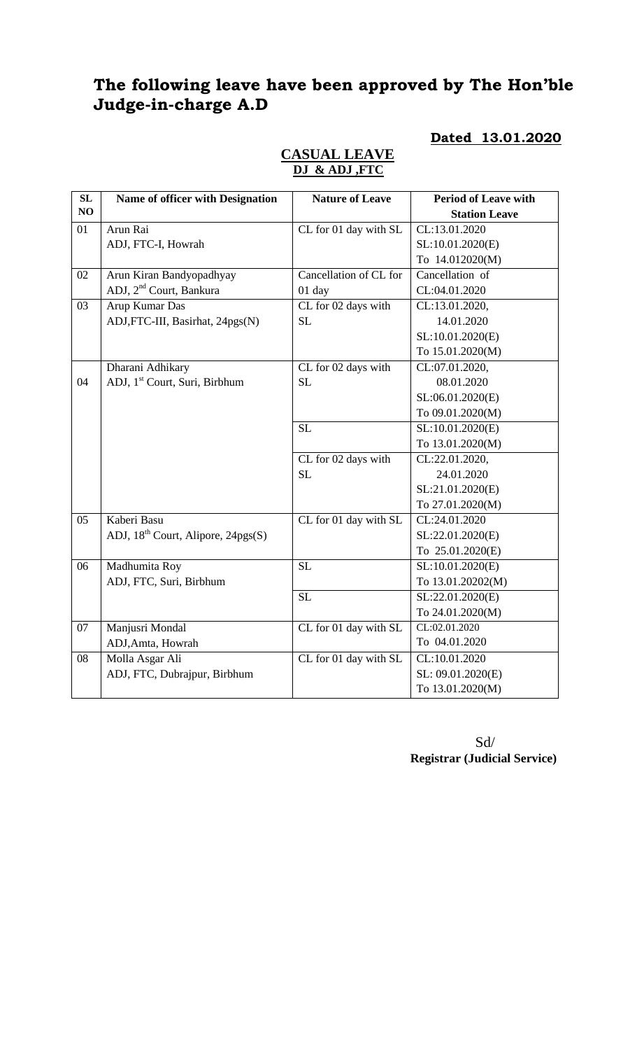# **The following leave have been approved by The Hon'ble Judge-in-charge A.D**

**Dated 13.01.2020**

| SL | Name of officer with Designation          | <b>Nature of Leave</b> | <b>Period of Leave with</b> |
|----|-------------------------------------------|------------------------|-----------------------------|
| NO |                                           |                        | <b>Station Leave</b>        |
| 01 | Arun Rai                                  | CL for 01 day with SL  | CL:13.01.2020               |
|    | ADJ, FTC-I, Howrah                        |                        | SL:10.01.2020(E)            |
|    |                                           |                        | To 14.012020(M)             |
| 02 | Arun Kiran Bandyopadhyay                  | Cancellation of CL for | Cancellation of             |
|    | ADJ, 2 <sup>nd</sup> Court, Bankura       | 01 day                 | CL:04.01.2020               |
| 03 | Arup Kumar Das                            | CL for 02 days with    | CL:13.01.2020,              |
|    | ADJ, FTC-III, Basirhat, 24pgs(N)          | <b>SL</b>              | 14.01.2020                  |
|    |                                           |                        | SL:10.01.2020(E)            |
|    |                                           |                        | To 15.01.2020(M)            |
|    | Dharani Adhikary                          | CL for 02 days with    | CL:07.01.2020,              |
| 04 | ADJ, 1 <sup>st</sup> Court, Suri, Birbhum | <b>SL</b>              | 08.01.2020                  |
|    |                                           |                        | SL:06.01.2020(E)            |
|    |                                           |                        | To 09.01.2020(M)            |
|    |                                           | <b>SL</b>              | SL:10.01.2020(E)            |
|    |                                           |                        | To 13.01.2020(M)            |
|    |                                           | CL for 02 days with    | CL:22.01.2020,              |
|    |                                           | <b>SL</b>              | 24.01.2020                  |
|    |                                           |                        | SL:21.01.2020(E)            |
|    |                                           |                        | To 27.01.2020(M)            |
| 05 | Kaberi Basu                               | CL for 01 day with SL  | CL:24.01.2020               |
|    | ADJ, $18^{th}$ Court, Alipore, $24pgs(S)$ |                        | SL:22.01.2020(E)            |
|    |                                           |                        | To 25.01.2020(E)            |
| 06 | Madhumita Roy                             | <b>SL</b>              | SL:10.01.2020(E)            |
|    | ADJ, FTC, Suri, Birbhum                   |                        | To 13.01.20202(M)           |
|    |                                           | $\overline{SL}$        | SL:22.01.2020(E)            |
|    |                                           |                        | To 24.01.2020(M)            |
| 07 | Manjusri Mondal                           | CL for 01 day with SL  | CL:02.01.2020               |
|    | ADJ, Amta, Howrah                         |                        | To 04.01.2020               |
| 08 | Molla Asgar Ali                           | CL for 01 day with SL  | CL:10.01.2020               |
|    | ADJ, FTC, Dubrajpur, Birbhum              |                        | SL: 09.01.2020(E)           |
|    |                                           |                        | To 13.01.2020(M)            |

### **CASUAL LEAVE DJ & ADJ ,FTC**

 Sd/ **Registrar (Judicial Service)**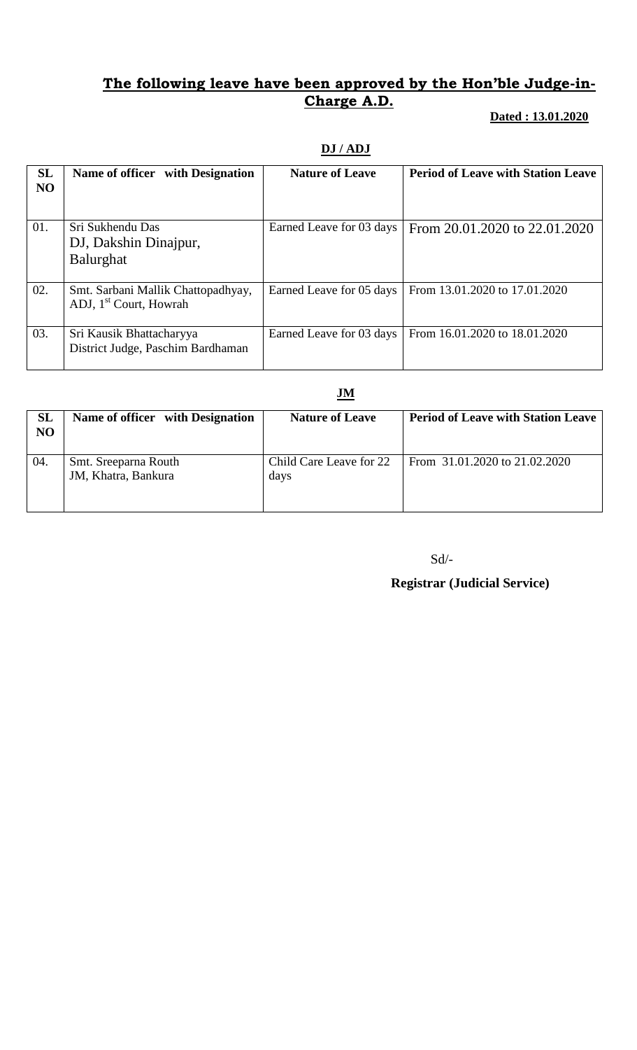### **The following leave have been approved by the Hon'ble Judge-in-Charge A.D.**

### **Dated : 13.01.2020**

# **DJ / ADJ**

| <b>SL</b><br>N <sub>O</sub> | Name of officer with Designation                                         | <b>Nature of Leave</b>   | <b>Period of Leave with Station Leave</b> |
|-----------------------------|--------------------------------------------------------------------------|--------------------------|-------------------------------------------|
| 01.                         | Sri Sukhendu Das<br>DJ, Dakshin Dinajpur,<br><b>Balurghat</b>            | Earned Leave for 03 days | From 20.01.2020 to 22.01.2020             |
| 02.                         | Smt. Sarbani Mallik Chattopadhyay,<br>ADJ, 1 <sup>st</sup> Court, Howrah | Earned Leave for 05 days | From 13.01.2020 to 17.01.2020             |
| 03.                         | Sri Kausik Bhattacharyya<br>District Judge, Paschim Bardhaman            | Earned Leave for 03 days | From 16.01.2020 to 18.01.2020             |

#### **JM**

| <b>SL</b><br>NO | Name of officer with Designation            | <b>Nature of Leave</b>          | <b>Period of Leave with Station Leave</b> |
|-----------------|---------------------------------------------|---------------------------------|-------------------------------------------|
| 04.             | Smt. Sreeparna Routh<br>JM, Khatra, Bankura | Child Care Leave for 22<br>days | From 31.01.2020 to 21.02.2020             |

Sd/-

# **Registrar (Judicial Service)**